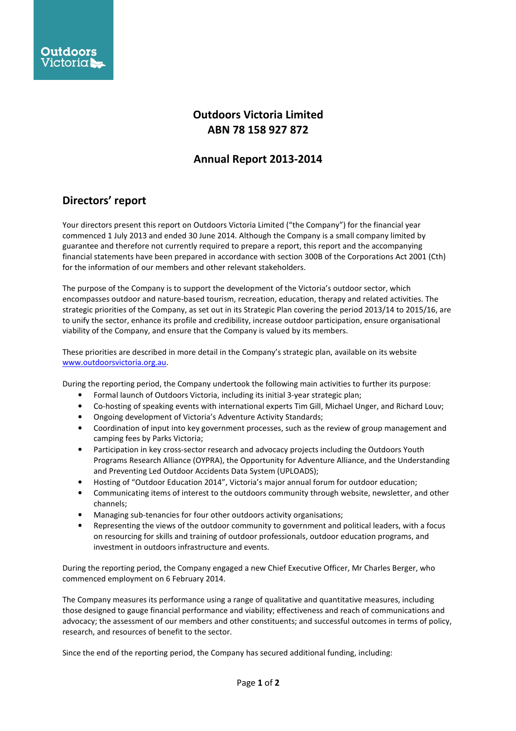

## Outdoors Victoria Limited ABN 78 158 927 872

## Annual Report 2013-2014

## Directors' report

Your directors present this report on Outdoors Victoria Limited ("the Company") for the financial year commenced 1 July 2013 and ended 30 June 2014. Although the Company is a small company limited by guarantee and therefore not currently required to prepare a report, this report and the accompanying financial statements have been prepared in accordance with section 300B of the Corporations Act 2001 (Cth) for the information of our members and other relevant stakeholders.

The purpose of the Company is to support the development of the Victoria's outdoor sector, which encompasses outdoor and nature-based tourism, recreation, education, therapy and related activities. The strategic priorities of the Company, as set out in its Strategic Plan covering the period 2013/14 to 2015/16, are to unify the sector, enhance its profile and credibility, increase outdoor participation, ensure organisational viability of the Company, and ensure that the Company is valued by its members.

These priorities are described in more detail in the Company's strategic plan, available on its website www.outdoorsvictoria.org.au.

During the reporting period, the Company undertook the following main activities to further its purpose:

- Formal launch of Outdoors Victoria, including its initial 3-year strategic plan;
- Co-hosting of speaking events with international experts Tim Gill, Michael Unger, and Richard Louv;
- Ongoing development of Victoria's Adventure Activity Standards;
- Coordination of input into key government processes, such as the review of group management and camping fees by Parks Victoria;
- Participation in key cross-sector research and advocacy projects including the Outdoors Youth Programs Research Alliance (OYPRA), the Opportunity for Adventure Alliance, and the Understanding and Preventing Led Outdoor Accidents Data System (UPLOADS);
- Hosting of "Outdoor Education 2014", Victoria's major annual forum for outdoor education;
- Communicating items of interest to the outdoors community through website, newsletter, and other channels;
- Managing sub-tenancies for four other outdoors activity organisations;
- Representing the views of the outdoor community to government and political leaders, with a focus on resourcing for skills and training of outdoor professionals, outdoor education programs, and investment in outdoors infrastructure and events.

During the reporting period, the Company engaged a new Chief Executive Officer, Mr Charles Berger, who commenced employment on 6 February 2014.

The Company measures its performance using a range of qualitative and quantitative measures, including those designed to gauge financial performance and viability; effectiveness and reach of communications and advocacy; the assessment of our members and other constituents; and successful outcomes in terms of policy, research, and resources of benefit to the sector.

Since the end of the reporting period, the Company has secured additional funding, including: